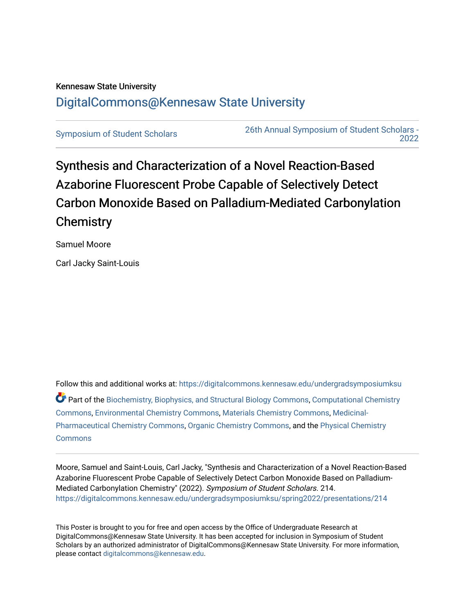## Kennesaw State University [DigitalCommons@Kennesaw State University](https://digitalcommons.kennesaw.edu/)

[Symposium of Student Scholars](https://digitalcommons.kennesaw.edu/undergradsymposiumksu) [26th Annual Symposium of Student Scholars -](https://digitalcommons.kennesaw.edu/undergradsymposiumksu/spring2022)  [2022](https://digitalcommons.kennesaw.edu/undergradsymposiumksu/spring2022) 

Synthesis and Characterization of a Novel Reaction-Based Azaborine Fluorescent Probe Capable of Selectively Detect Carbon Monoxide Based on Palladium-Mediated Carbonylation **Chemistry** 

Samuel Moore

Carl Jacky Saint-Louis

Follow this and additional works at: [https://digitalcommons.kennesaw.edu/undergradsymposiumksu](https://digitalcommons.kennesaw.edu/undergradsymposiumksu?utm_source=digitalcommons.kennesaw.edu%2Fundergradsymposiumksu%2Fspring2022%2Fpresentations%2F214&utm_medium=PDF&utm_campaign=PDFCoverPages)  Part of the [Biochemistry, Biophysics, and Structural Biology Commons](http://network.bepress.com/hgg/discipline/1?utm_source=digitalcommons.kennesaw.edu%2Fundergradsymposiumksu%2Fspring2022%2Fpresentations%2F214&utm_medium=PDF&utm_campaign=PDFCoverPages), Computational Chemistry [Commons](http://network.bepress.com/hgg/discipline/1439?utm_source=digitalcommons.kennesaw.edu%2Fundergradsymposiumksu%2Fspring2022%2Fpresentations%2F214&utm_medium=PDF&utm_campaign=PDFCoverPages), [Environmental Chemistry Commons](http://network.bepress.com/hgg/discipline/134?utm_source=digitalcommons.kennesaw.edu%2Fundergradsymposiumksu%2Fspring2022%2Fpresentations%2F214&utm_medium=PDF&utm_campaign=PDFCoverPages), [Materials Chemistry Commons,](http://network.bepress.com/hgg/discipline/135?utm_source=digitalcommons.kennesaw.edu%2Fundergradsymposiumksu%2Fspring2022%2Fpresentations%2F214&utm_medium=PDF&utm_campaign=PDFCoverPages) [Medicinal-](http://network.bepress.com/hgg/discipline/136?utm_source=digitalcommons.kennesaw.edu%2Fundergradsymposiumksu%2Fspring2022%2Fpresentations%2F214&utm_medium=PDF&utm_campaign=PDFCoverPages)[Pharmaceutical Chemistry Commons,](http://network.bepress.com/hgg/discipline/136?utm_source=digitalcommons.kennesaw.edu%2Fundergradsymposiumksu%2Fspring2022%2Fpresentations%2F214&utm_medium=PDF&utm_campaign=PDFCoverPages) [Organic Chemistry Commons,](http://network.bepress.com/hgg/discipline/138?utm_source=digitalcommons.kennesaw.edu%2Fundergradsymposiumksu%2Fspring2022%2Fpresentations%2F214&utm_medium=PDF&utm_campaign=PDFCoverPages) and the [Physical Chemistry](http://network.bepress.com/hgg/discipline/139?utm_source=digitalcommons.kennesaw.edu%2Fundergradsymposiumksu%2Fspring2022%2Fpresentations%2F214&utm_medium=PDF&utm_campaign=PDFCoverPages)  **[Commons](http://network.bepress.com/hgg/discipline/139?utm_source=digitalcommons.kennesaw.edu%2Fundergradsymposiumksu%2Fspring2022%2Fpresentations%2F214&utm_medium=PDF&utm_campaign=PDFCoverPages)** 

Moore, Samuel and Saint-Louis, Carl Jacky, "Synthesis and Characterization of a Novel Reaction-Based Azaborine Fluorescent Probe Capable of Selectively Detect Carbon Monoxide Based on Palladium-Mediated Carbonylation Chemistry" (2022). Symposium of Student Scholars. 214. [https://digitalcommons.kennesaw.edu/undergradsymposiumksu/spring2022/presentations/214](https://digitalcommons.kennesaw.edu/undergradsymposiumksu/spring2022/presentations/214?utm_source=digitalcommons.kennesaw.edu%2Fundergradsymposiumksu%2Fspring2022%2Fpresentations%2F214&utm_medium=PDF&utm_campaign=PDFCoverPages)

This Poster is brought to you for free and open access by the Office of Undergraduate Research at DigitalCommons@Kennesaw State University. It has been accepted for inclusion in Symposium of Student Scholars by an authorized administrator of DigitalCommons@Kennesaw State University. For more information, please contact [digitalcommons@kennesaw.edu.](mailto:digitalcommons@kennesaw.edu)